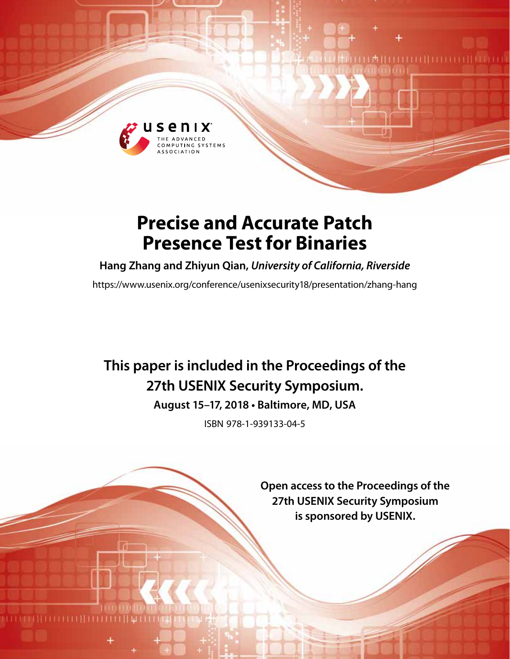

# **Precise and Accurate Patch Presence Test for Binaries**

**Hang Zhang and Zhiyun Qian,** *University of California, Riverside*

https://www.usenix.org/conference/usenixsecurity18/presentation/zhang-hang

# **This paper is included in the Proceedings of the 27th USENIX Security Symposium.**

**August 15–17, 2018 • Baltimore, MD, USA**

ISBN 978-1-939133-04-5

**Open access to the Proceedings of the 27th USENIX Security Symposium is sponsored by USENIX.**

(责任) COLLEGE IT LETTER I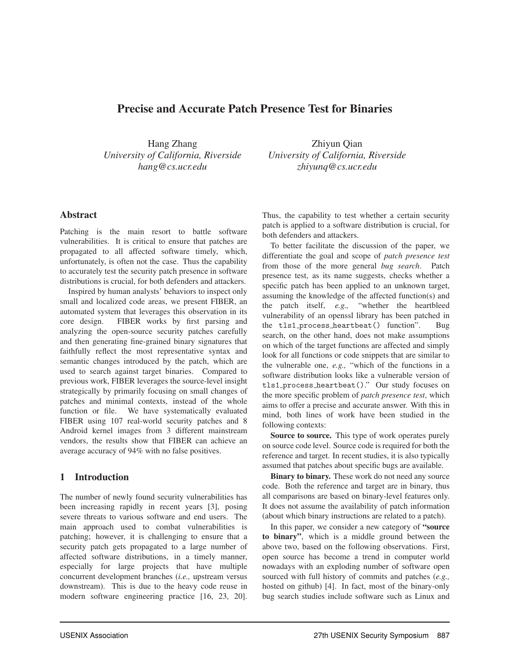# Precise and Accurate Patch Presence Test for Binaries

Hang Zhang *University of California, Riverside hang@cs.ucr.edu*

Zhiyun Qian *University of California, Riverside zhiyunq@cs.ucr.edu*

## Abstract

Patching is the main resort to battle software vulnerabilities. It is critical to ensure that patches are propagated to all affected software timely, which, unfortunately, is often not the case. Thus the capability to accurately test the security patch presence in software distributions is crucial, for both defenders and attackers.

Inspired by human analysts' behaviors to inspect only small and localized code areas, we present FIBER, an automated system that leverages this observation in its core design. FIBER works by first parsing and analyzing the open-source security patches carefully and then generating fine-grained binary signatures that faithfully reflect the most representative syntax and semantic changes introduced by the patch, which are used to search against target binaries. Compared to previous work, FIBER leverages the source-level insight strategically by primarily focusing on small changes of patches and minimal contexts, instead of the whole function or file. We have systematically evaluated FIBER using 107 real-world security patches and 8 Android kernel images from 3 different mainstream vendors, the results show that FIBER can achieve an average accuracy of 94% with no false positives.

# 1 Introduction

The number of newly found security vulnerabilities has been increasing rapidly in recent years [3], posing severe threats to various software and end users. The main approach used to combat vulnerabilities is patching; however, it is challenging to ensure that a security patch gets propagated to a large number of affected software distributions, in a timely manner, especially for large projects that have multiple concurrent development branches (*i.e.,* upstream versus downstream). This is due to the heavy code reuse in modern software engineering practice [16, 23, 20]. Thus, the capability to test whether a certain security patch is applied to a software distribution is crucial, for both defenders and attackers.

To better facilitate the discussion of the paper, we differentiate the goal and scope of *patch presence test* from those of the more general *bug search*. Patch presence test, as its name suggests, checks whether a specific patch has been applied to an unknown target, assuming the knowledge of the affected function(s) and the patch itself, *e.g.,* "whether the heartbleed vulnerability of an openssl library has been patched in the tls1 process heartbeat() function". Bug search, on the other hand, does not make assumptions on which of the target functions are affected and simply look for all functions or code snippets that are similar to the vulnerable one, *e.g.,* "which of the functions in a software distribution looks like a vulnerable version of tls1 process heartbeat()." Our study focuses on the more specific problem of *patch presence test*, which aims to offer a precise and accurate answer. With this in mind, both lines of work have been studied in the following contexts:

Source to source. This type of work operates purely on source code level. Source code is required for both the reference and target. In recent studies, it is also typically assumed that patches about specific bugs are available.

Binary to binary. These work do not need any source code. Both the reference and target are in binary, thus all comparisons are based on binary-level features only. It does not assume the availability of patch information (about which binary instructions are related to a patch).

In this paper, we consider a new category of "source to binary", which is a middle ground between the above two, based on the following observations. First, open source has become a trend in computer world nowadays with an exploding number of software open sourced with full history of commits and patches (*e.g.,* hosted on github) [4]. In fact, most of the binary-only bug search studies include software such as Linux and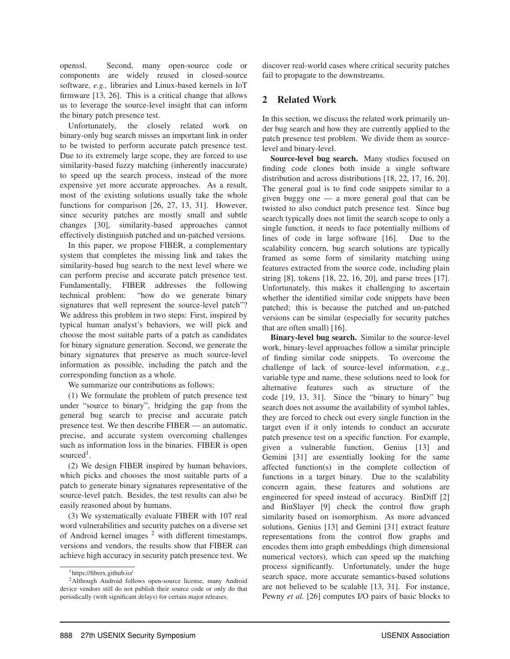openssl. Second, many open-source code or components are widely reused in closed-source software, *e.g.,* libraries and Linux-based kernels in IoT firmware [13, 26]. This is a critical change that allows us to leverage the source-level insight that can inform the binary patch presence test.

Unfortunately, the closely related work on binary-only bug search misses an important link in order to be twisted to perform accurate patch presence test. Due to its extremely large scope, they are forced to use similarity-based fuzzy matching (inherently inaccurate) to speed up the search process, instead of the more expensive yet more accurate approaches. As a result, most of the existing solutions usually take the whole functions for comparison [26, 27, 13, 31]. However, since security patches are mostly small and subtle changes [30], similarity-based approaches cannot effectively distinguish patched and un-patched versions.

In this paper, we propose FIBER, a complementary system that completes the missing link and takes the similarity-based bug search to the next level where we can perform precise and accurate patch presence test. Fundamentally, FIBER addresses the following technical problem: "how do we generate binary signatures that well represent the source-level patch"? We address this problem in two steps: First, inspired by typical human analyst's behaviors, we will pick and choose the most suitable parts of a patch as candidates for binary signature generation. Second, we generate the binary signatures that preserve as much source-level information as possible, including the patch and the corresponding function as a whole.

We summarize our contributions as follows:

(1) We formulate the problem of patch presence test under "source to binary", bridging the gap from the general bug search to precise and accurate patch presence test. We then describe FIBER — an automatic, precise, and accurate system overcoming challenges such as information loss in the binaries. FIBER is open sourced<sup>1</sup>.

(2) We design FIBER inspired by human behaviors, which picks and chooses the most suitable parts of a patch to generate binary signatures representative of the source-level patch. Besides, the test results can also be easily reasoned about by humans.

(3) We systematically evaluate FIBER with 107 real word vulnerabilities and security patches on a diverse set of Android kernel images <sup>2</sup> with different timestamps, versions and vendors, the results show that FIBER can achieve high accuracy in security patch presence test. We discover real-world cases where critical security patches fail to propagate to the downstreams.

# 2 Related Work

In this section, we discuss the related work primarily under bug search and how they are currently applied to the patch presence test problem. We divide them as sourcelevel and binary-level.

Source-level bug search. Many studies focused on finding code clones both inside a single software distribution and across distributions [18, 22, 17, 16, 20]. The general goal is to find code snippets similar to a given buggy one — a more general goal that can be twisted to also conduct patch presence test. Since bug search typically does not limit the search scope to only a single function, it needs to face potentially millions of lines of code in large software [16]. Due to the scalability concern, bug search solutions are typically framed as some form of similarity matching using features extracted from the source code, including plain string [8], tokens [18, 22, 16, 20], and parse trees [17]. Unfortunately, this makes it challenging to ascertain whether the identified similar code snippets have been patched; this is because the patched and un-patched versions can be similar (especially for security patches that are often small) [16].

Binary-level bug search. Similar to the source-level work, binary-level approaches follow a similar principle of finding similar code snippets. To overcome the challenge of lack of source-level information, *e.g.,* variable type and name, these solutions need to look for alternative features such as structure of the code [19, 13, 31]. Since the "binary to binary" bug search does not assume the availability of symbol tables, they are forced to check out every single function in the target even if it only intends to conduct an accurate patch presence test on a specific function. For example, given a vulnerable function, Genius [13] and Gemini [31] are essentially looking for the same affected function(s) in the complete collection of functions in a target binary. Due to the scalability concern again, these features and solutions are engineered for speed instead of accuracy. BinDiff [2] and BinSlayer [9] check the control flow graph similarity based on isomorphism. As more advanced solutions, Genius [13] and Gemini [31] extract feature representations from the control flow graphs and encodes them into graph embeddings (high dimensional numerical vectors), which can speed up the matching process significantly. Unfortunately, under the huge search space, more accurate semantics-based solutions are not believed to be scalable [13, 31]. For instance, Pewny *et al.* [26] computes I/O pairs of basic blocks to

<sup>1</sup>https://fiberx.github.io/

<sup>2</sup>Although Android follows open-source license, many Android device vendors still do not publish their source code or only do that periodically (with significant delays) for certain major releases.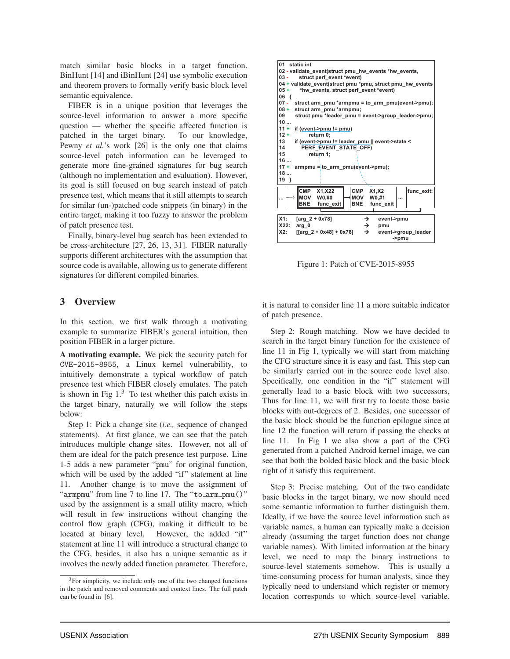match similar basic blocks in a target function. BinHunt [14] and iBinHunt [24] use symbolic execution and theorem provers to formally verify basic block level semantic equivalence.

FIBER is in a unique position that leverages the source-level information to answer a more specific question — whether the specific affected function is patched in the target binary. To our knowledge, Pewny *et al.*'s work [26] is the only one that claims source-level patch information can be leveraged to generate more fine-grained signatures for bug search (although no implementation and evaluation). However, its goal is still focused on bug search instead of patch presence test, which means that it still attempts to search for similar (un-)patched code snippets (in binary) in the entire target, making it too fuzzy to answer the problem of patch presence test.

Finally, binary-level bug search has been extended to be cross-architecture [27, 26, 13, 31]. FIBER naturally supports different architectures with the assumption that source code is available, allowing us to generate different signatures for different compiled binaries.

# 3 Overview

In this section, we first walk through a motivating example to summarize FIBER's general intuition, then position FIBER in a larger picture.

A motivating example. We pick the security patch for CVE-2015-8955, a Linux kernel vulnerability, to intuitively demonstrate a typical workflow of patch presence test which FIBER closely emulates. The patch is shown in Fig  $1<sup>3</sup>$  To test whether this patch exists in the target binary, naturally we will follow the steps below:

Step 1: Pick a change site (*i.e.,* sequence of changed statements). At first glance, we can see that the patch introduces multiple change sites. However, not all of them are ideal for the patch presence test purpose. Line 1-5 adds a new parameter "pmu" for original function, which will be used by the added "if" statement at line 11. Another change is to move the assignment of "armpmu" from line 7 to line 17. The "to\_arm\_pmu()" used by the assignment is a small utility macro, which will result in few instructions without changing the control flow graph (CFG), making it difficult to be located at binary level. However, the added "if" statement at line 11 will introduce a structural change to the CFG, besides, it also has a unique semantic as it involves the newly added function parameter. Therefore,



Figure 1: Patch of CVE-2015-8955

it is natural to consider line 11 a more suitable indicator of patch presence.

Step 2: Rough matching. Now we have decided to search in the target binary function for the existence of line 11 in Fig 1, typically we will start from matching the CFG structure since it is easy and fast. This step can be similarly carried out in the source code level also. Specifically, one condition in the "if" statement will generally lead to a basic block with two successors, Thus for line 11, we will first try to locate those basic blocks with out-degrees of 2. Besides, one successor of the basic block should be the function epilogue since at line 12 the function will return if passing the checks at line 11. In Fig 1 we also show a part of the CFG generated from a patched Android kernel image, we can see that both the bolded basic block and the basic block right of it satisfy this requirement.

Step 3: Precise matching. Out of the two candidate basic blocks in the target binary, we now should need some semantic information to further distinguish them. Ideally, if we have the source level information such as variable names, a human can typically make a decision already (assuming the target function does not change variable names). With limited information at the binary level, we need to map the binary instructions to source-level statements somehow. This is usually a time-consuming process for human analysts, since they typically need to understand which register or memory location corresponds to which source-level variable.

<sup>3</sup>For simplicity, we include only one of the two changed functions in the patch and removed comments and context lines. The full patch can be found in [6].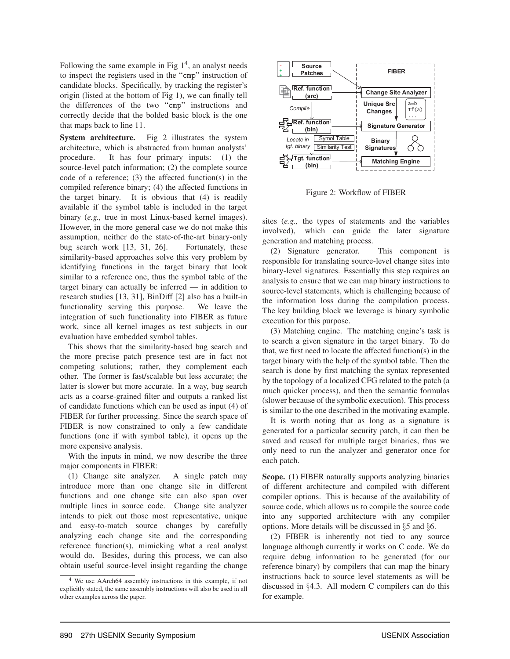Following the same example in Fig  $1<sup>4</sup>$ , an analyst needs to inspect the registers used in the "cmp" instruction of candidate blocks. Specifically, by tracking the register's origin (listed at the bottom of Fig 1), we can finally tell the differences of the two "cmp" instructions and correctly decide that the bolded basic block is the one that maps back to line 11.

System architecture. Fig 2 illustrates the system architecture, which is abstracted from human analysts' procedure. It has four primary inputs: (1) the source-level patch information; (2) the complete source code of a reference; (3) the affected function(s) in the compiled reference binary; (4) the affected functions in the target binary. It is obvious that (4) is readily available if the symbol table is included in the target binary (*e.g.,* true in most Linux-based kernel images). However, in the more general case we do not make this assumption, neither do the state-of-the-art binary-only bug search work [13, 31, 26]. Fortunately, these similarity-based approaches solve this very problem by identifying functions in the target binary that look similar to a reference one, thus the symbol table of the target binary can actually be inferred — in addition to research studies [13, 31], BinDiff [2] also has a built-in functionality serving this purpose. We leave the integration of such functionality into FIBER as future work, since all kernel images as test subjects in our evaluation have embedded symbol tables.

This shows that the similarity-based bug search and the more precise patch presence test are in fact not competing solutions; rather, they complement each other. The former is fast/scalable but less accurate; the latter is slower but more accurate. In a way, bug search acts as a coarse-grained filter and outputs a ranked list of candidate functions which can be used as input (4) of FIBER for further processing. Since the search space of FIBER is now constrained to only a few candidate functions (one if with symbol table), it opens up the more expensive analysis.

With the inputs in mind, we now describe the three major components in FIBER:

(1) Change site analyzer. A single patch may introduce more than one change site in different functions and one change site can also span over multiple lines in source code. Change site analyzer intends to pick out those most representative, unique and easy-to-match source changes by carefully analyzing each change site and the corresponding reference function(s), mimicking what a real analyst would do. Besides, during this process, we can also obtain useful source-level insight regarding the change



Figure 2: Workflow of FIBER

sites (*e.g.,* the types of statements and the variables involved), which can guide the later signature generation and matching process.

(2) Signature generator. This component is responsible for translating source-level change sites into binary-level signatures. Essentially this step requires an analysis to ensure that we can map binary instructions to source-level statements, which is challenging because of the information loss during the compilation process. The key building block we leverage is binary symbolic execution for this purpose.

(3) Matching engine. The matching engine's task is to search a given signature in the target binary. To do that, we first need to locate the affected function(s) in the target binary with the help of the symbol table. Then the search is done by first matching the syntax represented by the topology of a localized CFG related to the patch (a much quicker process), and then the semantic formulas (slower because of the symbolic execution). This process is similar to the one described in the motivating example.

It is worth noting that as long as a signature is generated for a particular security patch, it can then be saved and reused for multiple target binaries, thus we only need to run the analyzer and generator once for each patch.

Scope. (1) FIBER naturally supports analyzing binaries of different architecture and compiled with different compiler options. This is because of the availability of source code, which allows us to compile the source code into any supported architecture with any compiler options. More details will be discussed in §5 and §6.

(2) FIBER is inherently not tied to any source language although currently it works on C code. We do require debug information to be generated (for our reference binary) by compilers that can map the binary instructions back to source level statements as will be discussed in §4.3. All modern C compilers can do this for example.

<sup>4</sup> We use AArch64 assembly instructions in this example, if not explicitly stated, the same assembly instructions will also be used in all other examples across the paper.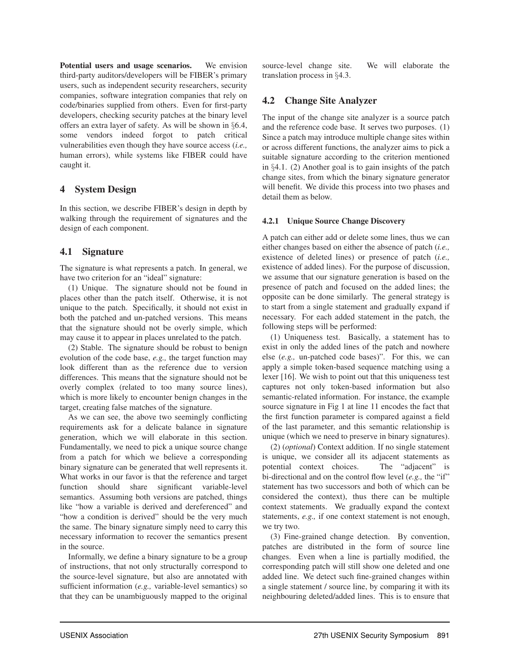Potential users and usage scenarios. We envision third-party auditors/developers will be FIBER's primary users, such as independent security researchers, security companies, software integration companies that rely on code/binaries supplied from others. Even for first-party developers, checking security patches at the binary level offers an extra layer of safety. As will be shown in §6.4, some vendors indeed forgot to patch critical vulnerabilities even though they have source access (*i.e.,* human errors), while systems like FIBER could have caught it.

## 4 System Design

In this section, we describe FIBER's design in depth by walking through the requirement of signatures and the design of each component.

# 4.1 Signature

The signature is what represents a patch. In general, we have two criterion for an "ideal" signature:

(1) Unique. The signature should not be found in places other than the patch itself. Otherwise, it is not unique to the patch. Specifically, it should not exist in both the patched and un-patched versions. This means that the signature should not be overly simple, which may cause it to appear in places unrelated to the patch.

(2) Stable. The signature should be robust to benign evolution of the code base, *e.g.,* the target function may look different than as the reference due to version differences. This means that the signature should not be overly complex (related to too many source lines), which is more likely to encounter benign changes in the target, creating false matches of the signature.

As we can see, the above two seemingly conflicting requirements ask for a delicate balance in signature generation, which we will elaborate in this section. Fundamentally, we need to pick a unique source change from a patch for which we believe a corresponding binary signature can be generated that well represents it. What works in our favor is that the reference and target function should share significant variable-level semantics. Assuming both versions are patched, things like "how a variable is derived and dereferenced" and "how a condition is derived" should be the very much the same. The binary signature simply need to carry this necessary information to recover the semantics present in the source.

Informally, we define a binary signature to be a group of instructions, that not only structurally correspond to the source-level signature, but also are annotated with sufficient information (*e.g.,* variable-level semantics) so that they can be unambiguously mapped to the original source-level change site. We will elaborate the translation process in §4.3.

# 4.2 Change Site Analyzer

The input of the change site analyzer is a source patch and the reference code base. It serves two purposes. (1) Since a patch may introduce multiple change sites within or across different functions, the analyzer aims to pick a suitable signature according to the criterion mentioned in §4.1. (2) Another goal is to gain insights of the patch change sites, from which the binary signature generator will benefit. We divide this process into two phases and detail them as below.

### 4.2.1 Unique Source Change Discovery

A patch can either add or delete some lines, thus we can either changes based on either the absence of patch (*i.e.,* existence of deleted lines) or presence of patch (*i.e.,* existence of added lines). For the purpose of discussion, we assume that our signature generation is based on the presence of patch and focused on the added lines; the opposite can be done similarly. The general strategy is to start from a single statement and gradually expand if necessary. For each added statement in the patch, the following steps will be performed:

(1) Uniqueness test. Basically, a statement has to exist in only the added lines of the patch and nowhere else (*e.g.,* un-patched code bases)". For this, we can apply a simple token-based sequence matching using a lexer [16]. We wish to point out that this uniqueness test captures not only token-based information but also semantic-related information. For instance, the example source signature in Fig 1 at line 11 encodes the fact that the first function parameter is compared against a field of the last parameter, and this semantic relationship is unique (which we need to preserve in binary signatures).

(2) (*optional*) Context addition. If no single statement is unique, we consider all its adjacent statements as potential context choices. The "adjacent" is bi-directional and on the control flow level (*e.g.*, the "if" statement has two successors and both of which can be considered the context), thus there can be multiple context statements. We gradually expand the context statements, *e.g.,* if one context statement is not enough, we try two.

(3) Fine-grained change detection. By convention, patches are distributed in the form of source line changes. Even when a line is partially modified, the corresponding patch will still show one deleted and one added line. We detect such fine-grained changes within a single statement / source line, by comparing it with its neighbouring deleted/added lines. This is to ensure that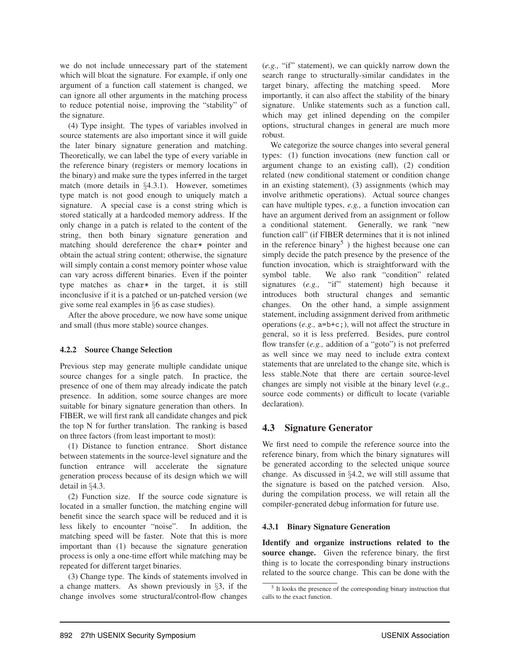we do not include unnecessary part of the statement which will bloat the signature. For example, if only one argument of a function call statement is changed, we can ignore all other arguments in the matching process to reduce potential noise, improving the "stability" of the signature.

(4) Type insight. The types of variables involved in source statements are also important since it will guide the later binary signature generation and matching. Theoretically, we can label the type of every variable in the reference binary (registers or memory locations in the binary) and make sure the types inferred in the target match (more details in §4.3.1). However, sometimes type match is not good enough to uniquely match a signature. A special case is a const string which is stored statically at a hardcoded memory address. If the only change in a patch is related to the content of the string, then both binary signature generation and matching should dereference the char\* pointer and obtain the actual string content; otherwise, the signature will simply contain a const memory pointer whose value can vary across different binaries. Even if the pointer type matches as char\* in the target, it is still inconclusive if it is a patched or un-patched version (we give some real examples in §6 as case studies).

After the above procedure, we now have some unique and small (thus more stable) source changes.

#### 4.2.2 Source Change Selection

Previous step may generate multiple candidate unique source changes for a single patch. In practice, the presence of one of them may already indicate the patch presence. In addition, some source changes are more suitable for binary signature generation than others. In FIBER, we will first rank all candidate changes and pick the top N for further translation. The ranking is based on three factors (from least important to most):

(1) Distance to function entrance. Short distance between statements in the source-level signature and the function entrance will accelerate the signature generation process because of its design which we will detail in §4.3.

(2) Function size. If the source code signature is located in a smaller function, the matching engine will benefit since the search space will be reduced and it is less likely to encounter "noise". In addition, the matching speed will be faster. Note that this is more important than (1) because the signature generation process is only a one-time effort while matching may be repeated for different target binaries.

(3) Change type. The kinds of statements involved in a change matters. As shown previously in §3, if the change involves some structural/control-flow changes (*e.g.,* "if" statement), we can quickly narrow down the search range to structurally-similar candidates in the target binary, affecting the matching speed. More importantly, it can also affect the stability of the binary signature. Unlike statements such as a function call, which may get inlined depending on the compiler options, structural changes in general are much more robust.

We categorize the source changes into several general types: (1) function invocations (new function call or argument change to an existing call), (2) condition related (new conditional statement or condition change in an existing statement), (3) assignments (which may involve arithmetic operations). Actual source changes can have multiple types, *e.g.,* a function invocation can have an argument derived from an assignment or follow a conditional statement. Generally, we rank "new function call" (if FIBER determines that it is not inlined in the reference binary<sup>5</sup>) the highest because one can simply decide the patch presence by the presence of the function invocation, which is straightforward with the symbol table. We also rank "condition" related signatures (*e.g.,* "if" statement) high because it introduces both structural changes and semantic changes. On the other hand, a simple assignment statement, including assignment derived from arithmetic operations (*e.g.,* a=b+c;), will not affect the structure in general, so it is less preferred. Besides, pure control flow transfer (*e.g.*, addition of a "goto") is not preferred as well since we may need to include extra context statements that are unrelated to the change site, which is less stable.Note that there are certain source-level changes are simply not visible at the binary level (*e.g.,* source code comments) or difficult to locate (variable declaration).

## 4.3 Signature Generator

We first need to compile the reference source into the reference binary, from which the binary signatures will be generated according to the selected unique source change. As discussed in §4.2, we will still assume that the signature is based on the patched version. Also, during the compilation process, we will retain all the compiler-generated debug information for future use.

#### 4.3.1 Binary Signature Generation

Identify and organize instructions related to the source change. Given the reference binary, the first thing is to locate the corresponding binary instructions related to the source change. This can be done with the

 $<sup>5</sup>$  It looks the presence of the corresponding binary instruction that</sup> calls to the exact function.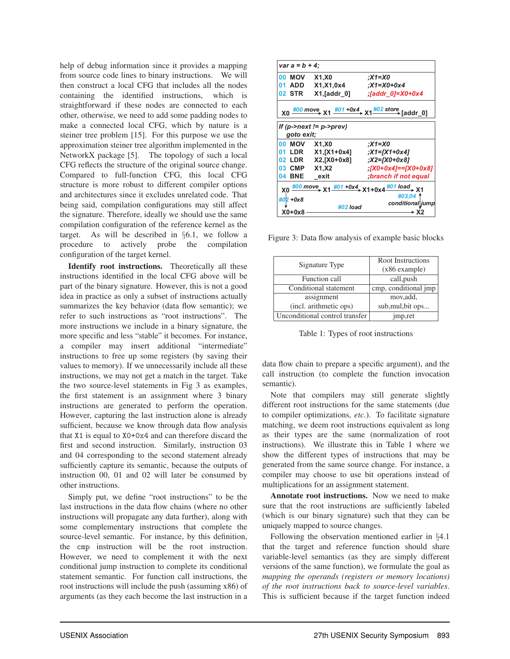help of debug information since it provides a mapping from source code lines to binary instructions. We will then construct a local CFG that includes all the nodes containing the identified instructions, which is straightforward if these nodes are connected to each other, otherwise, we need to add some padding nodes to make a connected local CFG, which by nature is a steiner tree problem [15]. For this purpose we use the approximation steiner tree algorithm implemented in the NetworkX package [5]. The topology of such a local CFG reflects the structure of the original source change. Compared to full-function CFG, this local CFG structure is more robust to different compiler options and architectures since it excludes unrelated code. That being said, compilation configurations may still affect the signature. Therefore, ideally we should use the same compilation configuration of the reference kernel as the target. As will be described in  $\S6.1$ , we follow a procedure to actively probe the compilation actively probe the configuration of the target kernel.

Identify root instructions. Theoretically all these instructions identified in the local CFG above will be part of the binary signature. However, this is not a good idea in practice as only a subset of instructions actually summarizes the key behavior (data flow semantic); we refer to such instructions as "root instructions". The more instructions we include in a binary signature, the more specific and less "stable" it becomes. For instance, a compiler may insert additional "intermediate" instructions to free up some registers (by saving their values to memory). If we unnecessarily include all these instructions, we may not get a match in the target. Take the two source-level statements in Fig 3 as examples, the first statement is an assignment where 3 binary instructions are generated to perform the operation. However, capturing the last instruction alone is already sufficient, because we know through data flow analysis that X1 is equal to X0+0x4 and can therefore discard the first and second instruction. Similarly, instruction 03 and 04 corresponding to the second statement already sufficiently capture its semantic, because the outputs of instruction 00, 01 and 02 will later be consumed by other instructions.

Simply put, we define "root instructions" to be the last instructions in the data flow chains (where no other instructions will propagate any data further), along with some complementary instructions that complete the source-level semantic. For instance, by this definition, the cmp instruction will be the root instruction. However, we need to complement it with the next conditional jump instruction to complete its conditional statement semantic. For function call instructions, the root instructions will include the push (assuming x86) of arguments (as they each become the last instruction in a

| $var a = b + 4$                                                                                              |                                                                                                                             |                              |  |  |  |  |  |
|--------------------------------------------------------------------------------------------------------------|-----------------------------------------------------------------------------------------------------------------------------|------------------------------|--|--|--|--|--|
| 00 MOV                                                                                                       | <b>X1,X0</b>                                                                                                                | X1=X0;                       |  |  |  |  |  |
|                                                                                                              | 01 ADD X1,X1,0x4                                                                                                            | :X1=X0+0x4                   |  |  |  |  |  |
|                                                                                                              | 02 STR X1, [addr 0]                                                                                                         | $\int$ addr 0]=X0+0x4        |  |  |  |  |  |
|                                                                                                              | X0 $\frac{\#00 \text{ move}}{400 \times 1}$ X1 $\frac{\#01 + 0x4}{4}$ X1 $\frac{\#02 \text{ store}}{400 \times 1}$ [addr_0] |                              |  |  |  |  |  |
|                                                                                                              | If (p->next $!=$ p->prev)<br>goto exit;                                                                                     |                              |  |  |  |  |  |
| 00 MOV X1,X0                                                                                                 |                                                                                                                             | :X1=X0                       |  |  |  |  |  |
|                                                                                                              | 01 LDR X1, [X1+0x4]                                                                                                         | :X1=[X1+0x4]                 |  |  |  |  |  |
|                                                                                                              | 02 LDR X2, [X0+0x8]                                                                                                         | X2=[X0+0x8];                 |  |  |  |  |  |
| 03 CMP X1,X2                                                                                                 |                                                                                                                             | $[X0+0x4]==[X0+0x8]$         |  |  |  |  |  |
| <b>04 BNE</b>                                                                                                | exit                                                                                                                        | branch if not equal          |  |  |  |  |  |
| $X0 \xrightarrow{\#00 \text{ move}} X1 \xrightarrow{\#01 + 0X4} X1 + 0X4 \xrightarrow{\#01 \text{ load}} X1$ |                                                                                                                             |                              |  |  |  |  |  |
| #02 +0x8                                                                                                     |                                                                                                                             | #03.04 1<br>conditional jump |  |  |  |  |  |
| $X0+0x8$                                                                                                     | #02 load                                                                                                                    | → X2                         |  |  |  |  |  |

Figure 3: Data flow analysis of example basic blocks

| Signature Type                 | Root Instructions<br>$(x86$ example) |  |  |
|--------------------------------|--------------------------------------|--|--|
| Function call                  | call, push                           |  |  |
| Conditional statement          | cmp, conditional imp                 |  |  |
| assignment                     | mov, add,                            |  |  |
| (incl. arithmetic ops)         | sub, mul, bit ops                    |  |  |
| Unconditional control transfer | imp,ret                              |  |  |

Table 1: Types of root instructions

data flow chain to prepare a specific argument), and the call instruction (to complete the function invocation semantic).

Note that compilers may still generate slightly different root instructions for the same statements (due to compiler optimizations, *etc.*). To facilitate signature matching, we deem root instructions equivalent as long as their types are the same (normalization of root instructions). We illustrate this in Table 1 where we show the different types of instructions that may be generated from the same source change. For instance, a compiler may choose to use bit operations instead of multiplications for an assignment statement.

Annotate root instructions. Now we need to make sure that the root instructions are sufficiently labeled (which is our binary signature) such that they can be uniquely mapped to source changes.

Following the observation mentioned earlier in §4.1 that the target and reference function should share variable-level semantics (as they are simply different versions of the same function), we formulate the goal as *mapping the operands (registers or memory locations) of the root instructions back to source-level variables*. This is sufficient because if the target function indeed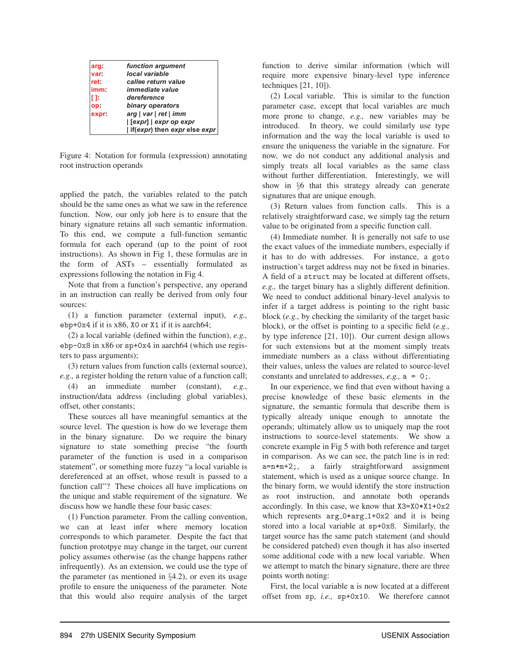| arg:  | function argument            |
|-------|------------------------------|
| var:  | local variable               |
| ret:  | callee return value          |
| imm:  | <i>immediate value</i>       |
| п.    | dereference                  |
| op:   | binary operators             |
| expr: | arg   var   ret   imm        |
|       | [expr]   expr op expr        |
|       | if(expr) then expr else expr |

Figure 4: Notation for formula (expression) annotating root instruction operands

applied the patch, the variables related to the patch should be the same ones as what we saw in the reference function. Now, our only job here is to ensure that the binary signature retains all such semantic information. To this end, we compute a full-function semantic formula for each operand (up to the point of root instructions). As shown in Fig 1, these formulas are in the form of ASTs – essentially formulated as expressions following the notation in Fig 4.

Note that from a function's perspective, any operand in an instruction can really be derived from only four sources:

(1) a function parameter (external input), *e.g.,* ebp+0x4 if it is x86, X0 or X1 if it is aarch64;

(2) a local variable (defined within the function), *e.g.,* ebp-0x8 in x86 or sp+0x4 in aarch64 (which use registers to pass arguments);

(3) return values from function calls (external source), *e.g.,* a register holding the return value of a function call;

(4) an immediate number (constant), *e.g.,* instruction/data address (including global variables), offset, other constants;

These sources all have meaningful semantics at the source level. The question is how do we leverage them in the binary signature. Do we require the binary signature to state something precise "the fourth parameter of the function is used in a comparison statement", or something more fuzzy "a local variable is dereferenced at an offset, whose result is passed to a function call"? These choices all have implications on the unique and stable requirement of the signature. We discuss how we handle these four basic cases:

(1) Function parameter. From the calling convention, we can at least infer where memory location corresponds to which parameter. Despite the fact that function prototpye may change in the target, our current policy assumes otherwise (as the change happens rather infrequently). As an extension, we could use the type of the parameter (as mentioned in §4.2), or even its usage profile to ensure the uniqueness of the parameter. Note that this would also require analysis of the target function to derive similar information (which will require more expensive binary-level type inference techniques [21, 10]).

(2) Local variable. This is similar to the function parameter case, except that local variables are much more prone to change, *e.g.,* new variables may be introduced. In theory, we could similarly use type information and the way the local variable is used to ensure the uniqueness the variable in the signature. For now, we do not conduct any additional analysis and simply treats all local variables as the same class without further differentiation. Interestingly, we will show in §6 that this strategy already can generate signatures that are unique enough.

(3) Return values from function calls. This is a relatively straightforward case, we simply tag the return value to be originated from a specific function call.

(4) Immediate number. It is generally not safe to use the exact values of the immediate numbers, especially if it has to do with addresses. For instance, a goto instruction's target address may not be fixed in binaries. A field of a struct may be located at different offsets, *e.g.,* the target binary has a slightly different definition. We need to conduct additional binary-level analysis to infer if a target address is pointing to the right basic block (*e.g.,* by checking the similarity of the target basic block), or the offset is pointing to a specific field (*e.g.,* by type inference [21, 10]). Our current design allows for such extensions but at the moment simply treats immediate numbers as a class without differentiating their values, unless the values are related to source-level constants and unrelated to addresses, *e.g.,* a = 0;.

In our experience, we find that even without having a precise knowledge of these basic elements in the signature, the semantic formula that describe them is typically already unique enough to annotate the operands; ultimately allow us to uniquely map the root instructions to source-level statements. We show a concrete example in Fig 5 with both reference and target in comparison. As we can see, the patch line is in red: a=n\*m+2;, a fairly straightforward assignment statement, which is used as a unique source change. In the binary form, we would identify the store instruction as root instruction, and annotate both operands accordingly. In this case, we know that X3=X0\*X1+0x2 which represents  $arg_0*arg_1+0x2$  and it is being stored into a local variable at sp+0x8. Similarly, the target source has the same patch statement (and should be considered patched) even though it has also inserted some additional code with a new local variable. When we attempt to match the binary signature, there are three points worth noting:

First, the local variable a is now located at a different offset from sp, *i.e.,* sp+0x10. We therefore cannot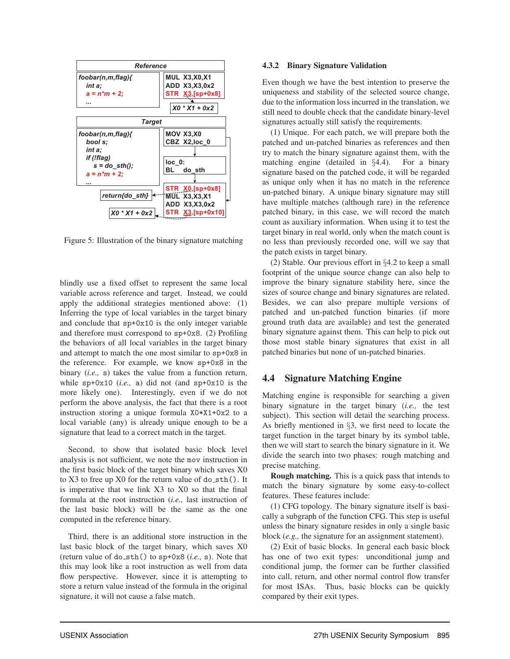

Figure 5: Illustration of the binary signature matching

blindly use a fixed offset to represent the same local variable across reference and target. Instead, we could apply the additional strategies mentioned above: (1) Inferring the type of local variables in the target binary and conclude that sp+0x10 is the only integer variable and therefore must correspond to sp+0x8. (2) Profiling the behaviors of all local variables in the target binary and attempt to match the one most similar to sp+0x8 in the reference. For example, we know sp+0x8 in the binary (*i.e.,* s) takes the value from a function return, while sp+0x10 (*i.e.,* a) did not (and sp+0x10 is the more likely one). Interestingly, even if we do not perform the above analysis, the fact that there is a root instruction storing a unique formula X0\*X1+0x2 to a local variable (any) is already unique enough to be a signature that lead to a correct match in the target.

Second, to show that isolated basic block level analysis is not sufficient, we note the mov instruction in the first basic block of the target binary which saves X0 to  $X3$  to free up  $X0$  for the return value of do\_sth(). It is imperative that we link X3 to X0 so that the final formula at the root instruction (*i.e.,* last instruction of the last basic block) will be the same as the one computed in the reference binary.

Third, there is an additional store instruction in the last basic block of the target binary, which saves X0 (return value of do sth() to sp+0x8 (*i.e.,* s). Note that this may look like a root instruction as well from data flow perspective. However, since it is attempting to store a return value instead of the formula in the original signature, it will not cause a false match.

#### 4.3.2 Binary Signature Validation

Even though we have the best intention to preserve the uniqueness and stability of the selected source change, due to the information loss incurred in the translation, we still need to double check that the candidate binary-level signatures actually still satisfy the requirements.

(1) Unique. For each patch, we will prepare both the patched and un-patched binaries as references and then try to match the binary signature against them, with the matching engine (detailed in §4.4). For a binary signature based on the patched code, it will be regarded as unique only when it has no match in the reference un-patched binary. A unique binary signature may still have multiple matches (although rare) in the reference patched binary, in this case, we will record the match count as auxiliary information. When using it to test the target binary in real world, only when the match count is no less than previously recorded one, will we say that the patch exists in target binary.

(2) Stable. Our previous effort in §4.2 to keep a small footprint of the unique source change can also help to improve the binary signature stability here, since the sizes of source change and binary signatures are related. Besides, we can also prepare multiple versions of patched and un-patched function binaries (if more ground truth data are available) and test the generated binary signature against them. This can help to pick out those most stable binary signatures that exist in all patched binaries but none of un-patched binaries.

# 4.4 Signature Matching Engine

Matching engine is responsible for searching a given binary signature in the target binary (*i.e.,* the test subject). This section will detail the searching process. As briefly mentioned in §3, we first need to locate the target function in the target binary by its symbol table, then we will start to search the binary signature in it. We divide the search into two phases: rough matching and precise matching.

Rough matching. This is a quick pass that intends to match the binary signature by some easy-to-collect features. These features include:

(1) CFG topology. The binary signature itself is basically a subgraph of the function CFG. This step is useful unless the binary signature resides in only a single basic block (*e.g.,* the signature for an assignment statement).

(2) Exit of basic blocks. In general each basic block has one of two exit types: unconditional jump and conditional jump, the former can be further classified into call, return, and other normal control flow transfer for most ISAs. Thus, basic blocks can be quickly compared by their exit types.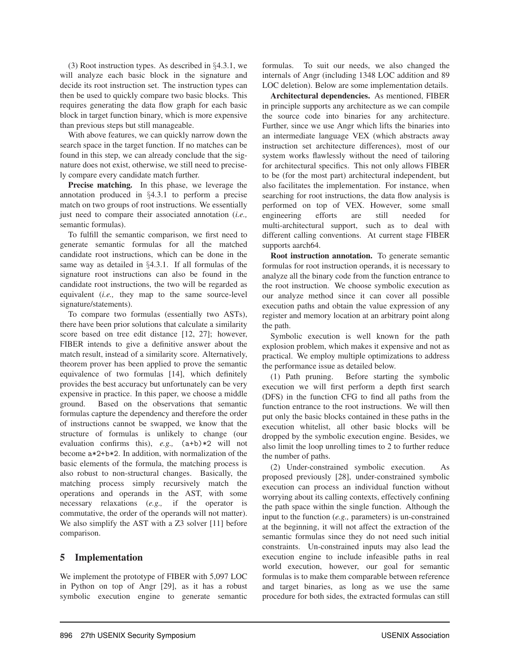(3) Root instruction types. As described in §4.3.1, we will analyze each basic block in the signature and decide its root instruction set. The instruction types can then be used to quickly compare two basic blocks. This requires generating the data flow graph for each basic block in target function binary, which is more expensive than previous steps but still manageable.

With above features, we can quickly narrow down the search space in the target function. If no matches can be found in this step, we can already conclude that the signature does not exist, otherwise, we still need to precisely compare every candidate match further.

Precise matching. In this phase, we leverage the annotation produced in §4.3.1 to perform a precise match on two groups of root instructions. We essentially just need to compare their associated annotation (*i.e.,* semantic formulas).

To fulfill the semantic comparison, we first need to generate semantic formulas for all the matched candidate root instructions, which can be done in the same way as detailed in §4.3.1. If all formulas of the signature root instructions can also be found in the candidate root instructions, the two will be regarded as equivalent (*i.e.,* they map to the same source-level signature/statements).

To compare two formulas (essentially two ASTs), there have been prior solutions that calculate a similarity score based on tree edit distance [12, 27]; however, FIBER intends to give a definitive answer about the match result, instead of a similarity score. Alternatively, theorem prover has been applied to prove the semantic equivalence of two formulas [14], which definitely provides the best accuracy but unfortunately can be very expensive in practice. In this paper, we choose a middle ground. Based on the observations that semantic formulas capture the dependency and therefore the order of instructions cannot be swapped, we know that the structure of formulas is unlikely to change (our evaluation confirms this), *e.g.,* (a+b)\*2 will not become a\*2+b\*2. In addition, with normalization of the basic elements of the formula, the matching process is also robust to non-structural changes. Basically, the matching process simply recursively match the operations and operands in the AST, with some necessary relaxations (*e.g.,* if the operator is commutative, the order of the operands will not matter). We also simplify the AST with a Z3 solver [11] before comparison.

## 5 Implementation

We implement the prototype of FIBER with 5,097 LOC in Python on top of Angr [29], as it has a robust symbolic execution engine to generate semantic formulas. To suit our needs, we also changed the internals of Angr (including 1348 LOC addition and 89 LOC deletion). Below are some implementation details.

Architectural dependencies. As mentioned, FIBER in principle supports any architecture as we can compile the source code into binaries for any architecture. Further, since we use Angr which lifts the binaries into an intermediate language VEX (which abstracts away instruction set architecture differences), most of our system works flawlessly without the need of tailoring for architectural specifics. This not only allows FIBER to be (for the most part) architectural independent, but also facilitates the implementation. For instance, when searching for root instructions, the data flow analysis is performed on top of VEX. However, some small engineering efforts are still needed for multi-architectural support, such as to deal with different calling conventions. At current stage FIBER supports aarch64.

Root instruction annotation. To generate semantic formulas for root instruction operands, it is necessary to analyze all the binary code from the function entrance to the root instruction. We choose symbolic execution as our analyze method since it can cover all possible execution paths and obtain the value expression of any register and memory location at an arbitrary point along the path.

Symbolic execution is well known for the path explosion problem, which makes it expensive and not as practical. We employ multiple optimizations to address the performance issue as detailed below.

(1) Path pruning. Before starting the symbolic execution we will first perform a depth first search (DFS) in the function CFG to find all paths from the function entrance to the root instructions. We will then put only the basic blocks contained in these paths in the execution whitelist, all other basic blocks will be dropped by the symbolic execution engine. Besides, we also limit the loop unrolling times to 2 to further reduce the number of paths.

(2) Under-constrained symbolic execution. As proposed previously [28], under-constrained symbolic execution can process an individual function without worrying about its calling contexts, effectively confining the path space within the single function. Although the input to the function (*e.g.,* parameters) is un-constrained at the beginning, it will not affect the extraction of the semantic formulas since they do not need such initial constraints. Un-constrained inputs may also lead the execution engine to include infeasible paths in real world execution, however, our goal for semantic formulas is to make them comparable between reference and target binaries, as long as we use the same procedure for both sides, the extracted formulas can still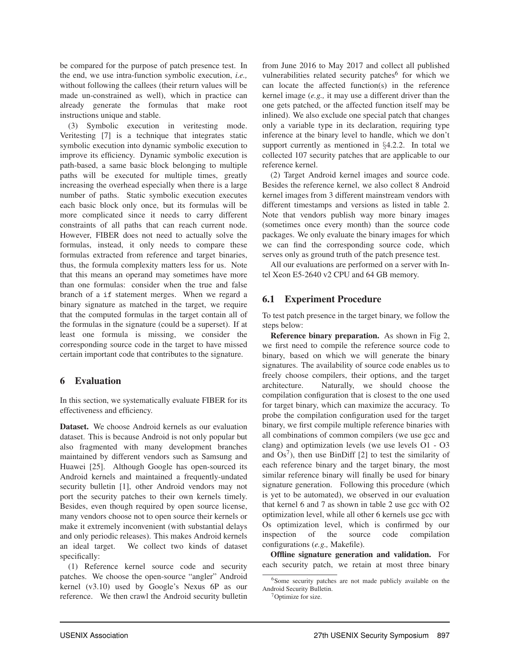be compared for the purpose of patch presence test. In the end, we use intra-function symbolic execution, *i.e.,* without following the callees (their return values will be made un-constrained as well), which in practice can already generate the formulas that make root instructions unique and stable.

(3) Symbolic execution in veritesting mode. Veritesting [7] is a technique that integrates static symbolic execution into dynamic symbolic execution to improve its efficiency. Dynamic symbolic execution is path-based, a same basic block belonging to multiple paths will be executed for multiple times, greatly increasing the overhead especially when there is a large number of paths. Static symbolic execution executes each basic block only once, but its formulas will be more complicated since it needs to carry different constraints of all paths that can reach current node. However, FIBER does not need to actually solve the formulas, instead, it only needs to compare these formulas extracted from reference and target binaries, thus, the formula complexity matters less for us. Note that this means an operand may sometimes have more than one formulas: consider when the true and false branch of a if statement merges. When we regard a binary signature as matched in the target, we require that the computed formulas in the target contain all of the formulas in the signature (could be a superset). If at least one formula is missing, we consider the corresponding source code in the target to have missed certain important code that contributes to the signature.

# 6 Evaluation

In this section, we systematically evaluate FIBER for its effectiveness and efficiency.

Dataset. We choose Android kernels as our evaluation dataset. This is because Android is not only popular but also fragmented with many development branches maintained by different vendors such as Samsung and Huawei [25]. Although Google has open-sourced its Android kernels and maintained a frequently-undated security bulletin [1], other Android vendors may not port the security patches to their own kernels timely. Besides, even though required by open source license, many vendors choose not to open source their kernels or make it extremely inconvenient (with substantial delays and only periodic releases). This makes Android kernels an ideal target. We collect two kinds of dataset specifically:

(1) Reference kernel source code and security patches. We choose the open-source "angler" Android kernel (v3.10) used by Google's Nexus 6P as our reference. We then crawl the Android security bulletin from June 2016 to May 2017 and collect all published vulnerabilities related security patches $<sup>6</sup>$  for which we</sup> can locate the affected function(s) in the reference kernel image (*e.g.,* it may use a different driver than the one gets patched, or the affected function itself may be inlined). We also exclude one special patch that changes only a variable type in its declaration, requiring type inference at the binary level to handle, which we don't support currently as mentioned in §4.2.2. In total we collected 107 security patches that are applicable to our reference kernel.

(2) Target Android kernel images and source code. Besides the reference kernel, we also collect 8 Android kernel images from 3 different mainstream vendors with different timestamps and versions as listed in table 2. Note that vendors publish way more binary images (sometimes once every month) than the source code packages. We only evaluate the binary images for which we can find the corresponding source code, which serves only as ground truth of the patch presence test.

All our evaluations are performed on a server with Intel Xeon E5-2640 v2 CPU and 64 GB memory.

# 6.1 Experiment Procedure

To test patch presence in the target binary, we follow the steps below:

Reference binary preparation. As shown in Fig 2, we first need to compile the reference source code to binary, based on which we will generate the binary signatures. The availability of source code enables us to freely choose compilers, their options, and the target architecture. Naturally, we should choose the compilation configuration that is closest to the one used for target binary, which can maximize the accuracy. To probe the compilation configuration used for the target binary, we first compile multiple reference binaries with all combinations of common compilers (we use gcc and clang) and optimization levels (we use levels O1 - O3 and  $Os^7$ ), then use BinDiff [2] to test the similarity of each reference binary and the target binary, the most similar reference binary will finally be used for binary signature generation. Following this procedure (which is yet to be automated), we observed in our evaluation that kernel 6 and 7 as shown in table 2 use gcc with O2 optimization level, while all other 6 kernels use gcc with Os optimization level, which is confirmed by our inspection of the source code compilation configurations (*e.g.,* Makefile).

Offline signature generation and validation. For each security patch, we retain at most three binary

<sup>&</sup>lt;sup>6</sup>Some security patches are not made publicly available on the Android Security Bulletin.

<sup>&</sup>lt;sup>7</sup>Optimize for size.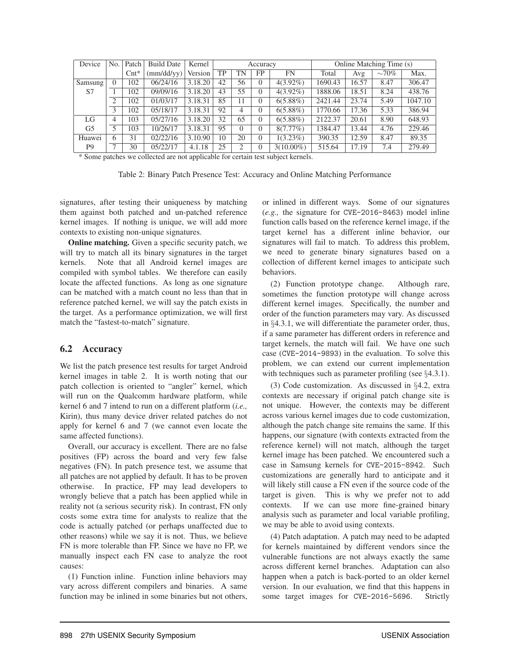| Device         | N <sub>0</sub> | Patch            | <b>Build Date</b> | Kernel  | Accuracy |          |           | Online Matching Time (s) |         |       |             |         |
|----------------|----------------|------------------|-------------------|---------|----------|----------|-----------|--------------------------|---------|-------|-------------|---------|
|                |                | $\mathrm{Cnt}^*$ | (mm/dd/yy)        | Version | TP       | TN       | <b>FP</b> | FN                       | Total   | Avg   | $\sim 70\%$ | Max.    |
| Samsung        | $\theta$       | 102              | 06/24/16          | 3.18.20 | 42       | 56       | $\Omega$  | $4(3.92\%)$              | 1690.43 | 16.57 | 8.47        | 306.47  |
| S7             |                | 102              | 09/09/16          | 3.18.20 | 43       | 55       | $\Omega$  | $4(3.92\%)$              | 1888.06 | 18.51 | 8.24        | 438.76  |
|                | 2              | 102              | 01/03/17          | 3.18.31 | 85       | 11       | $\Omega$  | $6(5.88\%)$              | 2421.44 | 23.74 | 5.49        | 1047.10 |
|                | 3              | 102              | 05/18/17          | 3.18.31 | 92       | 4        | $\Omega$  | $6(5.88\%)$              | 1770.66 | 17.36 | 5.33        | 386.94  |
| LG             | 4              | 103              | 05/27/16          | 3.18.20 | 32       | 65       | $\Omega$  | $6(5.88\%)$              | 2122.37 | 20.61 | 8.90        | 648.93  |
| G <sub>5</sub> | 5              | 103              | 10/26/17          | 3.18.31 | 95       | $\Omega$ | $\Omega$  | $8(7.77\%)$              | 1384.47 | 13.44 | 4.76        | 229.46  |
| Huawei         | 6              | 31               | 02/22/16          | 3.10.90 | 10       | 20       | $\Omega$  | $1(3.23\%)$              | 390.35  | 12.59 | 8.47        | 89.35   |
| P <sub>9</sub> | $\mathcal{L}$  | 30               | 05/22/17          | 4.1.18  | 25       | 2        | $\theta$  | $3(10.00\%)$             | 515.64  | 17.19 | 7.4         | 279.49  |

\* Some patches we collected are not applicable for certain test subject kernels.

Table 2: Binary Patch Presence Test: Accuracy and Online Matching Performance

signatures, after testing their uniqueness by matching them against both patched and un-patched reference kernel images. If nothing is unique, we will add more contexts to existing non-unique signatures.

Online matching. Given a specific security patch, we will try to match all its binary signatures in the target kernels. Note that all Android kernel images are compiled with symbol tables. We therefore can easily locate the affected functions. As long as one signature can be matched with a match count no less than that in reference patched kernel, we will say the patch exists in the target. As a performance optimization, we will first match the "fastest-to-match" signature.

## 6.2 Accuracy

We list the patch presence test results for target Android kernel images in table 2. It is worth noting that our patch collection is oriented to "angler" kernel, which will run on the Qualcomm hardware platform, while kernel 6 and 7 intend to run on a different platform (*i.e.,* Kirin), thus many device driver related patches do not apply for kernel 6 and 7 (we cannot even locate the same affected functions).

Overall, our accuracy is excellent. There are no false positives (FP) across the board and very few false negatives (FN). In patch presence test, we assume that all patches are not applied by default. It has to be proven otherwise. In practice, FP may lead developers to wrongly believe that a patch has been applied while in reality not (a serious security risk). In contrast, FN only costs some extra time for analysts to realize that the code is actually patched (or perhaps unaffected due to other reasons) while we say it is not. Thus, we believe FN is more tolerable than FP. Since we have no FP, we manually inspect each FN case to analyze the root causes:

(1) Function inline. Function inline behaviors may vary across different compilers and binaries. A same function may be inlined in some binaries but not others, or inlined in different ways. Some of our signatures (*e.g.,* the signature for CVE-2016-8463) model inline function calls based on the reference kernel image, if the target kernel has a different inline behavior, our signatures will fail to match. To address this problem, we need to generate binary signatures based on a collection of different kernel images to anticipate such behaviors.

(2) Function prototype change. Although rare, sometimes the function prototype will change across different kernel images. Specifically, the number and order of the function parameters may vary. As discussed in §4.3.1, we will differentiate the parameter order, thus, if a same parameter has different orders in reference and target kernels, the match will fail. We have one such case (CVE-2014-9893) in the evaluation. To solve this problem, we can extend our current implementation with techniques such as parameter profiling (see  $\S 4.3.1$ ).

(3) Code customization. As discussed in §4.2, extra contexts are necessary if original patch change site is not unique. However, the contexts may be different across various kernel images due to code customization, although the patch change site remains the same. If this happens, our signature (with contexts extracted from the reference kernel) will not match, although the target kernel image has been patched. We encountered such a case in Samsung kernels for CVE-2015-8942. Such customizations are generally hard to anticipate and it will likely still cause a FN even if the source code of the target is given. This is why we prefer not to add contexts. If we can use more fine-grained binary analysis such as parameter and local variable profiling, we may be able to avoid using contexts.

(4) Patch adaptation. A patch may need to be adapted for kernels maintained by different vendors since the vulnerable functions are not always exactly the same across different kernel branches. Adaptation can also happen when a patch is back-ported to an older kernel version. In our evaluation, we find that this happens in some target images for CVE-2016-5696. Strictly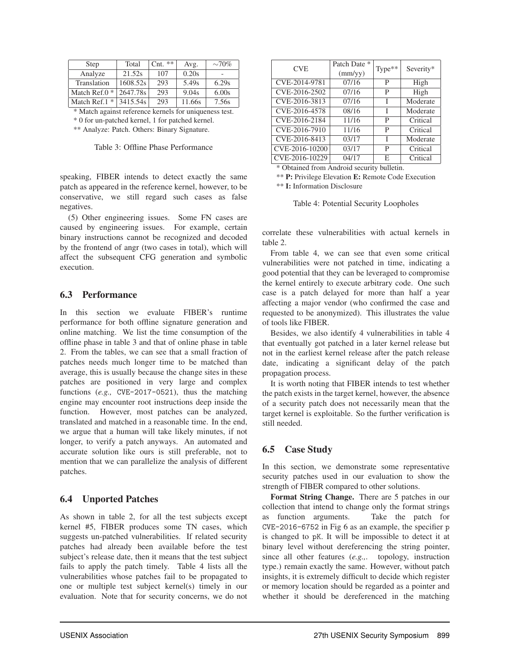| Step             | Total    | $\mathrm{Cnt.}$ ** | Avg.   | $\sim 70\%$ |
|------------------|----------|--------------------|--------|-------------|
| Analyze          | 21.52s   | 107                | 0.20s  |             |
| Translation      | 1608.52s | 293                | 5.49s  | 6.29s       |
| Match Ref. $0 *$ | 2647.78s | 293                | 9.04s  | 6.00s       |
| Match Ref. $1 *$ | 3415.54s | 293                | 11.66s | 7.56s       |

\* Match against reference kernels for uniqueness test.

\* 0 for un-patched kernel, 1 for patched kernel.

\*\* Analyze: Patch. Others: Binary Signature.

Table 3: Offline Phase Performance

speaking, FIBER intends to detect exactly the same patch as appeared in the reference kernel, however, to be conservative, we still regard such cases as false negatives.

(5) Other engineering issues. Some FN cases are caused by engineering issues. For example, certain binary instructions cannot be recognized and decoded by the frontend of angr (two cases in total), which will affect the subsequent CFG generation and symbolic execution.

## 6.3 Performance

In this section we evaluate FIBER's runtime performance for both offline signature generation and online matching. We list the time consumption of the offline phase in table 3 and that of online phase in table 2. From the tables, we can see that a small fraction of patches needs much longer time to be matched than average, this is usually because the change sites in these patches are positioned in very large and complex functions (*e.g.,* CVE-2017-0521), thus the matching engine may encounter root instructions deep inside the function. However, most patches can be analyzed, translated and matched in a reasonable time. In the end, we argue that a human will take likely minutes, if not longer, to verify a patch anyways. An automated and accurate solution like ours is still preferable, not to mention that we can parallelize the analysis of different patches.

## 6.4 Unported Patches

As shown in table 2, for all the test subjects except kernel #5, FIBER produces some TN cases, which suggests un-patched vulnerabilities. If related security patches had already been available before the test subject's release date, then it means that the test subject fails to apply the patch timely. Table 4 lists all the vulnerabilities whose patches fail to be propagated to one or multiple test subject kernel(s) timely in our evaluation. Note that for security concerns, we do not

| <b>CVE</b>                                 | Patch Date *<br>(mm/yy) | $Type**$ | Severity* |  |  |  |
|--------------------------------------------|-------------------------|----------|-----------|--|--|--|
| CVE-2014-9781                              | 07/16                   | P        | High      |  |  |  |
| CVE-2016-2502                              | 07/16                   | P        | High      |  |  |  |
| CVE-2016-3813                              | 07/16                   | T        | Moderate  |  |  |  |
| CVE-2016-4578                              | 08/16                   | T        | Moderate  |  |  |  |
| CVE-2016-2184                              | 11/16                   | P        | Critical  |  |  |  |
| CVE-2016-7910                              | 11/16                   | P        | Critical  |  |  |  |
| CVE-2016-8413                              | 03/17                   | I        | Moderate  |  |  |  |
| CVE-2016-10200                             | 03/17                   | P        | Critical  |  |  |  |
| CVE-2016-10229                             | 04/17                   | Е        | Critical  |  |  |  |
| * Obtained from Android security bulletin. |                         |          |           |  |  |  |

\*\* P: Privilege Elevation E: Remote Code Execution

\*\* I: Information Disclosure

Table 4: Potential Security Loopholes

correlate these vulnerabilities with actual kernels in table 2.

From table 4, we can see that even some critical vulnerabilities were not patched in time, indicating a good potential that they can be leveraged to compromise the kernel entirely to execute arbitrary code. One such case is a patch delayed for more than half a year affecting a major vendor (who confirmed the case and requested to be anonymized). This illustrates the value of tools like FIBER.

Besides, we also identify 4 vulnerabilities in table 4 that eventually got patched in a later kernel release but not in the earliest kernel release after the patch release date, indicating a significant delay of the patch propagation process.

It is worth noting that FIBER intends to test whether the patch exists in the target kernel, however, the absence of a security patch does not necessarily mean that the target kernel is exploitable. So the further verification is still needed.

# 6.5 Case Study

In this section, we demonstrate some representative security patches used in our evaluation to show the strength of FIBER compared to other solutions.

Format String Change. There are 5 patches in our collection that intend to change only the format strings as function arguments. Take the patch for CVE-2016-6752 in Fig 6 as an example, the specifier p is changed to pK. It will be impossible to detect it at binary level without dereferencing the string pointer, since all other features (*e.g.,*. topology, instruction type.) remain exactly the same. However, without patch insights, it is extremely difficult to decide which register or memory location should be regarded as a pointer and whether it should be dereferenced in the matching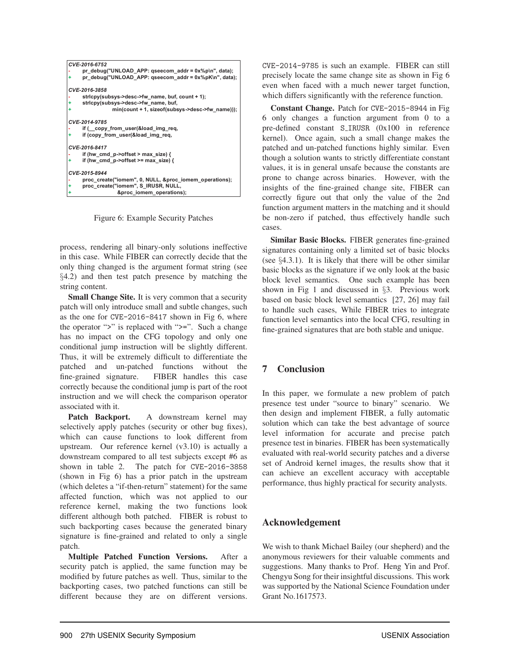

Figure 6: Example Security Patches

process, rendering all binary-only solutions ineffective in this case. While FIBER can correctly decide that the only thing changed is the argument format string (see §4.2) and then test patch presence by matching the string content.

Small Change Site. It is very common that a security patch will only introduce small and subtle changes, such as the one for CVE-2016-8417 shown in Fig 6, where the operator ">" is replaced with ">=". Such a change has no impact on the CFG topology and only one conditional jump instruction will be slightly different. Thus, it will be extremely difficult to differentiate the patched and un-patched functions without the fine-grained signature. FIBER handles this case correctly because the conditional jump is part of the root instruction and we will check the comparison operator associated with it.

Patch Backport. A downstream kernel may selectively apply patches (security or other bug fixes), which can cause functions to look different from upstream. Our reference kernel (v3.10) is actually a downstream compared to all test subjects except #6 as shown in table 2. The patch for CVE-2016-3858 (shown in Fig 6) has a prior patch in the upstream (which deletes a "if-then-return" statement) for the same affected function, which was not applied to our reference kernel, making the two functions look different although both patched. FIBER is robust to such backporting cases because the generated binary signature is fine-grained and related to only a single patch.

Multiple Patched Function Versions. After a security patch is applied, the same function may be modified by future patches as well. Thus, similar to the backporting cases, two patched functions can still be different because they are on different versions. CVE-2014-9785 is such an example. FIBER can still precisely locate the same change site as shown in Fig 6 even when faced with a much newer target function, which differs significantly with the reference function.

Constant Change. Patch for CVE-2015-8944 in Fig 6 only changes a function argument from 0 to a pre-defined constant S IRUSR (0x100 in reference kernel). Once again, such a small change makes the patched and un-patched functions highly similar. Even though a solution wants to strictly differentiate constant values, it is in general unsafe because the constants are prone to change across binaries. However, with the insights of the fine-grained change site, FIBER can correctly figure out that only the value of the 2nd function argument matters in the matching and it should be non-zero if patched, thus effectively handle such cases.

Similar Basic Blocks. FIBER generates fine-grained signatures containing only a limited set of basic blocks (see §4.3.1). It is likely that there will be other similar basic blocks as the signature if we only look at the basic block level semantics. One such example has been shown in Fig 1 and discussed in §3. Previous work based on basic block level semantics [27, 26] may fail to handle such cases, While FIBER tries to integrate function level semantics into the local CFG, resulting in fine-grained signatures that are both stable and unique.

# 7 Conclusion

In this paper, we formulate a new problem of patch presence test under "source to binary" scenario. We then design and implement FIBER, a fully automatic solution which can take the best advantage of source level information for accurate and precise patch presence test in binaries. FIBER has been systematically evaluated with real-world security patches and a diverse set of Android kernel images, the results show that it can achieve an excellent accuracy with acceptable performance, thus highly practical for security analysts.

# Acknowledgement

We wish to thank Michael Bailey (our shepherd) and the anonymous reviewers for their valuable comments and suggestions. Many thanks to Prof. Heng Yin and Prof. Chengyu Song for their insightful discussions. This work was supported by the National Science Foundation under Grant No.1617573.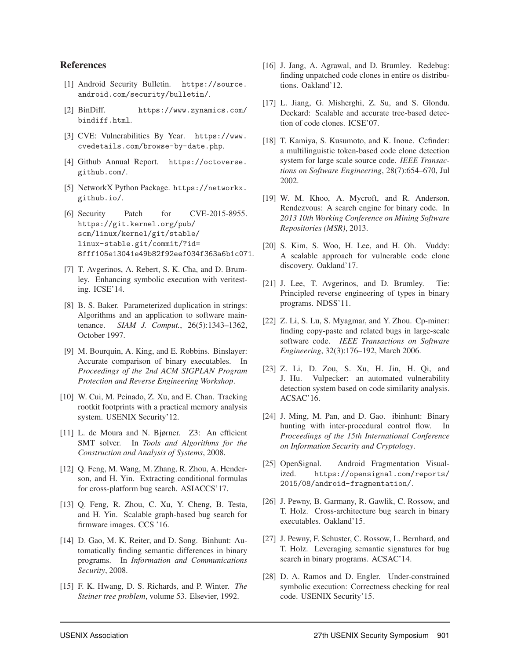### References

- [1] Android Security Bulletin. https://source. android.com/security/bulletin/.
- [2] BinDiff. https://www.zynamics.com/ bindiff.html.
- [3] CVE: Vulnerabilities By Year. https://www. cvedetails.com/browse-by-date.php.
- [4] Github Annual Report. https://octoverse. github.com/.
- [5] NetworkX Python Package. https://networkx. github.io/.
- [6] Security Patch for CVE-2015-8955. https://git.kernel.org/pub/ scm/linux/kernel/git/stable/ linux-stable.git/commit/?id= 8fff105e13041e49b82f92eef034f363a6b1c071.
- [7] T. Avgerinos, A. Rebert, S. K. Cha, and D. Brumley. Enhancing symbolic execution with veritesting. ICSE'14.
- [8] B. S. Baker. Parameterized duplication in strings: Algorithms and an application to software maintenance. *SIAM J. Comput.*, 26(5):1343–1362, October 1997.
- [9] M. Bourquin, A. King, and E. Robbins. Binslayer: Accurate comparison of binary executables. In *Proceedings of the 2nd ACM SIGPLAN Program Protection and Reverse Engineering Workshop*.
- [10] W. Cui, M. Peinado, Z. Xu, and E. Chan. Tracking rootkit footprints with a practical memory analysis system. USENIX Security'12.
- [11] L. de Moura and N. Bjørner. Z3: An efficient SMT solver. In *Tools and Algorithms for the Construction and Analysis of Systems*, 2008.
- [12] Q. Feng, M. Wang, M. Zhang, R. Zhou, A. Henderson, and H. Yin. Extracting conditional formulas for cross-platform bug search. ASIACCS'17.
- [13] Q. Feng, R. Zhou, C. Xu, Y. Cheng, B. Testa, and H. Yin. Scalable graph-based bug search for firmware images. CCS '16.
- [14] D. Gao, M. K. Reiter, and D. Song. Binhunt: Automatically finding semantic differences in binary programs. In *Information and Communications Security*, 2008.
- [15] F. K. Hwang, D. S. Richards, and P. Winter. *The Steiner tree problem*, volume 53. Elsevier, 1992.
- [16] J. Jang, A. Agrawal, and D. Brumley. Redebug: finding unpatched code clones in entire os distributions. Oakland'12.
- [17] L. Jiang, G. Misherghi, Z. Su, and S. Glondu. Deckard: Scalable and accurate tree-based detection of code clones. ICSE'07.
- [18] T. Kamiya, S. Kusumoto, and K. Inoue. Ccfinder: a multilinguistic token-based code clone detection system for large scale source code. *IEEE Transactions on Software Engineering*, 28(7):654–670, Jul 2002.
- [19] W. M. Khoo, A. Mycroft, and R. Anderson. Rendezvous: A search engine for binary code. In *2013 10th Working Conference on Mining Software Repositories (MSR)*, 2013.
- [20] S. Kim, S. Woo, H. Lee, and H. Oh. Vuddy: A scalable approach for vulnerable code clone discovery. Oakland'17.
- [21] J. Lee, T. Avgerinos, and D. Brumley. Tie: Principled reverse engineering of types in binary programs. NDSS'11.
- [22] Z. Li, S. Lu, S. Myagmar, and Y. Zhou. Cp-miner: finding copy-paste and related bugs in large-scale software code. *IEEE Transactions on Software Engineering*, 32(3):176–192, March 2006.
- [23] Z. Li, D. Zou, S. Xu, H. Jin, H. Qi, and J. Hu. Vulpecker: an automated vulnerability detection system based on code similarity analysis. ACSAC'16.
- [24] J. Ming, M. Pan, and D. Gao. ibinhunt: Binary hunting with inter-procedural control flow. In *Proceedings of the 15th International Conference on Information Security and Cryptology*.
- [25] OpenSignal. Android Fragmentation Visualized. https://opensignal.com/reports/ 2015/08/android-fragmentation/.
- [26] J. Pewny, B. Garmany, R. Gawlik, C. Rossow, and T. Holz. Cross-architecture bug search in binary executables. Oakland'15.
- [27] J. Pewny, F. Schuster, C. Rossow, L. Bernhard, and T. Holz. Leveraging semantic signatures for bug search in binary programs. ACSAC'14.
- [28] D. A. Ramos and D. Engler. Under-constrained symbolic execution: Correctness checking for real code. USENIX Security'15.